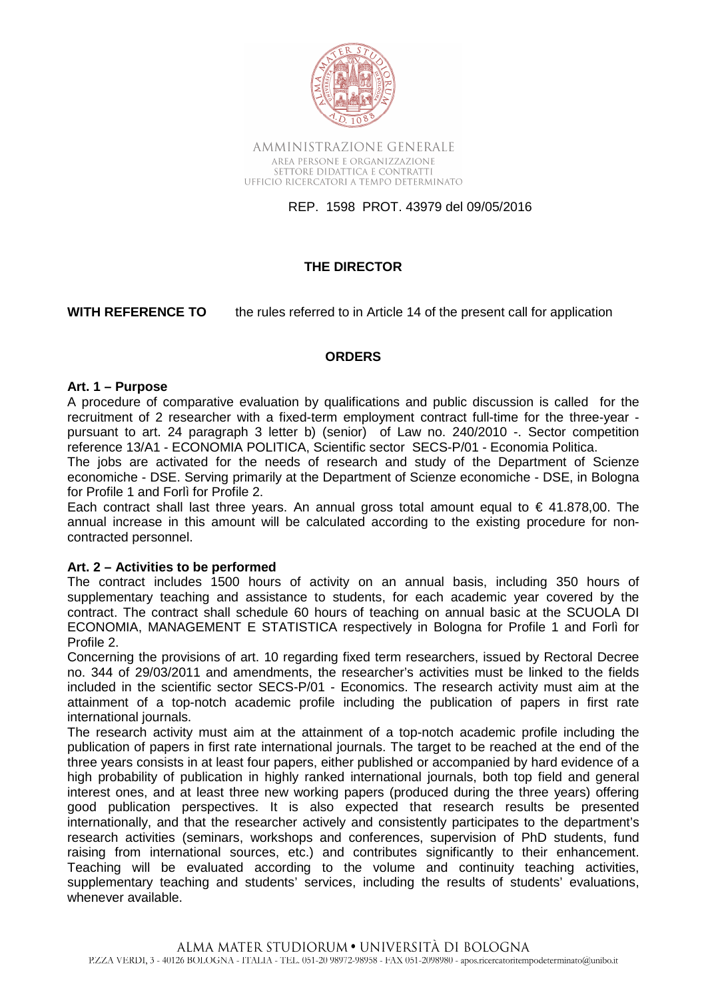

AMMINISTRAZIONE GENERALE AREA PERSONE E ORGANIZZAZIONE SETTORE DIDATTICA E CONTRATTI UFFICIO RICERCATORI A TEMPO DETERMINATO

REP. 1598 PROT. 43979 del 09/05/2016

# **THE DIRECTOR**

**WITH REFERENCE TO** the rules referred to in Article 14 of the present call for application

# **ORDERS**

#### **Art. 1 – Purpose**

A procedure of comparative evaluation by qualifications and public discussion is called for the recruitment of 2 researcher with a fixed-term employment contract full-time for the three-year pursuant to art. 24 paragraph 3 letter b) (senior) of Law no. 240/2010 -. Sector competition reference 13/A1 - ECONOMIA POLITICA, Scientific sector SECS-P/01 - Economia Politica.

The jobs are activated for the needs of research and study of the Department of Scienze economiche - DSE. Serving primarily at the Department of Scienze economiche - DSE, in Bologna for Profile 1 and Forlì for Profile 2.

Each contract shall last three years. An annual gross total amount equal to  $\epsilon$  41.878,00. The annual increase in this amount will be calculated according to the existing procedure for noncontracted personnel.

### **Art. 2 – Activities to be performed**

The contract includes 1500 hours of activity on an annual basis, including 350 hours of supplementary teaching and assistance to students, for each academic year covered by the contract. The contract shall schedule 60 hours of teaching on annual basic at the SCUOLA DI ECONOMIA, MANAGEMENT E STATISTICA respectively in Bologna for Profile 1 and Forlì for Profile 2.

Concerning the provisions of art. 10 regarding fixed term researchers, issued by Rectoral Decree no. 344 of 29/03/2011 and amendments, the researcher's activities must be linked to the fields included in the scientific sector SECS-P/01 - Economics. The research activity must aim at the attainment of a top-notch academic profile including the publication of papers in first rate international journals.

The research activity must aim at the attainment of a top-notch academic profile including the publication of papers in first rate international journals. The target to be reached at the end of the three years consists in at least four papers, either published or accompanied by hard evidence of a high probability of publication in highly ranked international journals, both top field and general interest ones, and at least three new working papers (produced during the three years) offering good publication perspectives. It is also expected that research results be presented internationally, and that the researcher actively and consistently participates to the department's research activities (seminars, workshops and conferences, supervision of PhD students, fund raising from international sources, etc.) and contributes significantly to their enhancement. Teaching will be evaluated according to the volume and continuity teaching activities, supplementary teaching and students' services, including the results of students' evaluations, whenever available.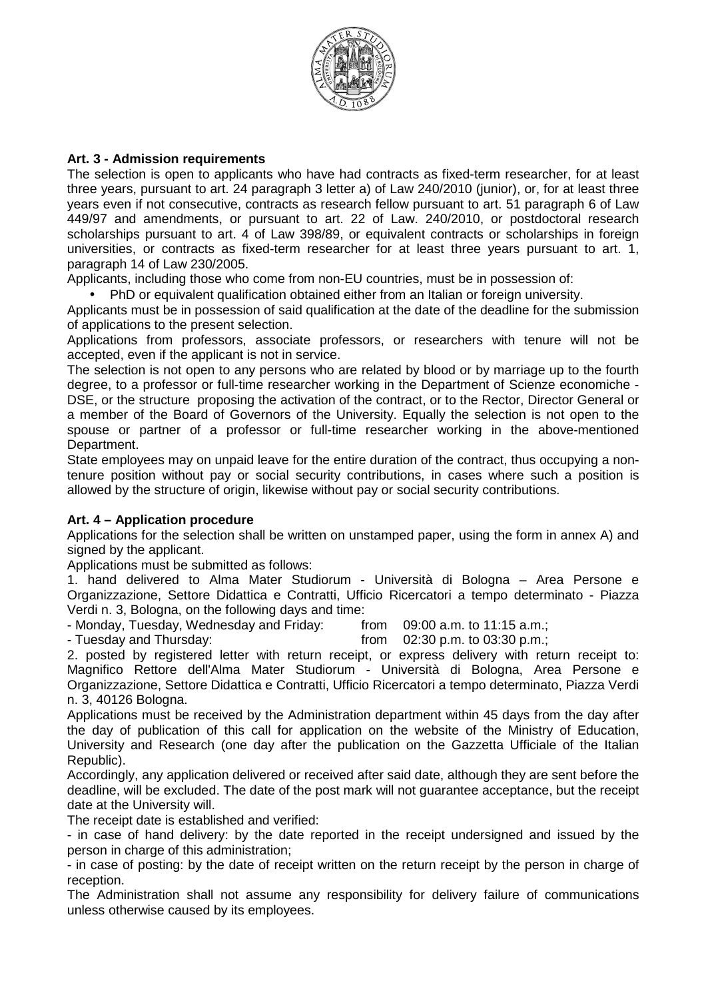

# **Art. 3 - Admission requirements**

The selection is open to applicants who have had contracts as fixed-term researcher, for at least three years, pursuant to art. 24 paragraph 3 letter a) of Law 240/2010 (junior), or, for at least three years even if not consecutive, contracts as research fellow pursuant to art. 51 paragraph 6 of Law 449/97 and amendments, or pursuant to art. 22 of Law. 240/2010, or postdoctoral research scholarships pursuant to art. 4 of Law 398/89, or equivalent contracts or scholarships in foreign universities, or contracts as fixed-term researcher for at least three years pursuant to art. 1, paragraph 14 of Law 230/2005.

Applicants, including those who come from non-EU countries, must be in possession of:

• PhD or equivalent qualification obtained either from an Italian or foreign university.

Applicants must be in possession of said qualification at the date of the deadline for the submission of applications to the present selection.

Applications from professors, associate professors, or researchers with tenure will not be accepted, even if the applicant is not in service.

The selection is not open to any persons who are related by blood or by marriage up to the fourth degree, to a professor or full-time researcher working in the Department of Scienze economiche - DSE, or the structure proposing the activation of the contract, or to the Rector, Director General or a member of the Board of Governors of the University. Equally the selection is not open to the spouse or partner of a professor or full-time researcher working in the above-mentioned Department.

State employees may on unpaid leave for the entire duration of the contract, thus occupying a nontenure position without pay or social security contributions, in cases where such a position is allowed by the structure of origin, likewise without pay or social security contributions.

### **Art. 4 – Application procedure**

Applications for the selection shall be written on unstamped paper, using the form in annex A) and signed by the applicant.

Applications must be submitted as follows:

1. hand delivered to Alma Mater Studiorum - Università di Bologna – Area Persone e Organizzazione, Settore Didattica e Contratti, Ufficio Ricercatori a tempo determinato - Piazza Verdi n. 3, Bologna, on the following days and time:

- Monday, Tuesday, Wednesday and Friday: from 09:00 a.m. to 11:15 a.m.;

- Tuesday and Thursday: from 02:30 p.m. to 03:30 p.m.;

2. posted by registered letter with return receipt, or express delivery with return receipt to: Magnifico Rettore dell'Alma Mater Studiorum - Università di Bologna, Area Persone e Organizzazione, Settore Didattica e Contratti, Ufficio Ricercatori a tempo determinato, Piazza Verdi n. 3, 40126 Bologna.

Applications must be received by the Administration department within 45 days from the day after the day of publication of this call for application on the website of the Ministry of Education, University and Research (one day after the publication on the Gazzetta Ufficiale of the Italian Republic).

Accordingly, any application delivered or received after said date, although they are sent before the deadline, will be excluded. The date of the post mark will not guarantee acceptance, but the receipt date at the University will.

The receipt date is established and verified:

- in case of hand delivery: by the date reported in the receipt undersigned and issued by the person in charge of this administration;

- in case of posting: by the date of receipt written on the return receipt by the person in charge of reception.

The Administration shall not assume any responsibility for delivery failure of communications unless otherwise caused by its employees.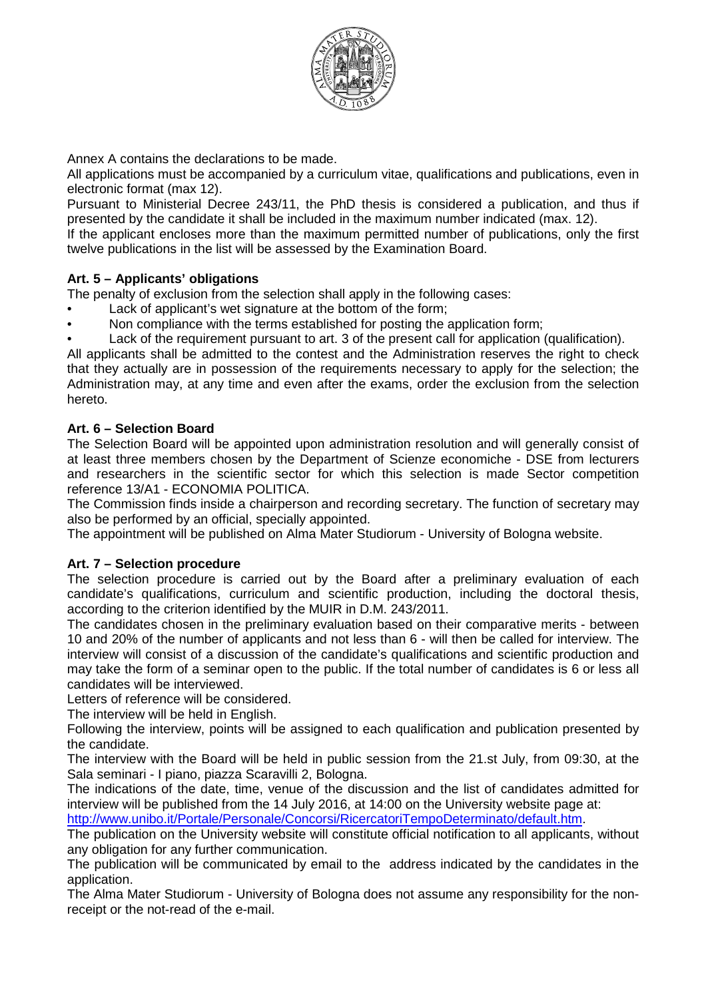

Annex A contains the declarations to be made.

All applications must be accompanied by a curriculum vitae, qualifications and publications, even in electronic format (max 12).

Pursuant to Ministerial Decree 243/11, the PhD thesis is considered a publication, and thus if presented by the candidate it shall be included in the maximum number indicated (max. 12).

If the applicant encloses more than the maximum permitted number of publications, only the first twelve publications in the list will be assessed by the Examination Board.

# **Art. 5 – Applicants' obligations**

The penalty of exclusion from the selection shall apply in the following cases:

- Lack of applicant's wet signature at the bottom of the form:
- Non compliance with the terms established for posting the application form;

• Lack of the requirement pursuant to art. 3 of the present call for application (qualification).

All applicants shall be admitted to the contest and the Administration reserves the right to check that they actually are in possession of the requirements necessary to apply for the selection; the Administration may, at any time and even after the exams, order the exclusion from the selection hereto.

### **Art. 6 – Selection Board**

The Selection Board will be appointed upon administration resolution and will generally consist of at least three members chosen by the Department of Scienze economiche - DSE from lecturers and researchers in the scientific sector for which this selection is made Sector competition reference 13/A1 - ECONOMIA POLITICA.

The Commission finds inside a chairperson and recording secretary. The function of secretary may also be performed by an official, specially appointed.

The appointment will be published on Alma Mater Studiorum - University of Bologna website.

### **Art. 7 – Selection procedure**

The selection procedure is carried out by the Board after a preliminary evaluation of each candidate's qualifications, curriculum and scientific production, including the doctoral thesis, according to the criterion identified by the MUIR in D.M. 243/2011.

The candidates chosen in the preliminary evaluation based on their comparative merits - between 10 and 20% of the number of applicants and not less than 6 - will then be called for interview. The interview will consist of a discussion of the candidate's qualifications and scientific production and may take the form of a seminar open to the public. If the total number of candidates is 6 or less all candidates will be interviewed.

Letters of reference will be considered.

The interview will be held in English.

Following the interview, points will be assigned to each qualification and publication presented by the candidate.

The interview with the Board will be held in public session from the 21.st July, from 09:30, at the Sala seminari - I piano, piazza Scaravilli 2, Bologna.

The indications of the date, time, venue of the discussion and the list of candidates admitted for interview will be published from the 14 July 2016, at 14:00 on the University website page at: http://www.unibo.it/Portale/Personale/Concorsi/RicercatoriTempoDeterminato/default.htm.

The publication on the University website will constitute official notification to all applicants, without any obligation for any further communication.

The publication will be communicated by email to the address indicated by the candidates in the application.

The Alma Mater Studiorum - University of Bologna does not assume any responsibility for the nonreceipt or the not-read of the e-mail.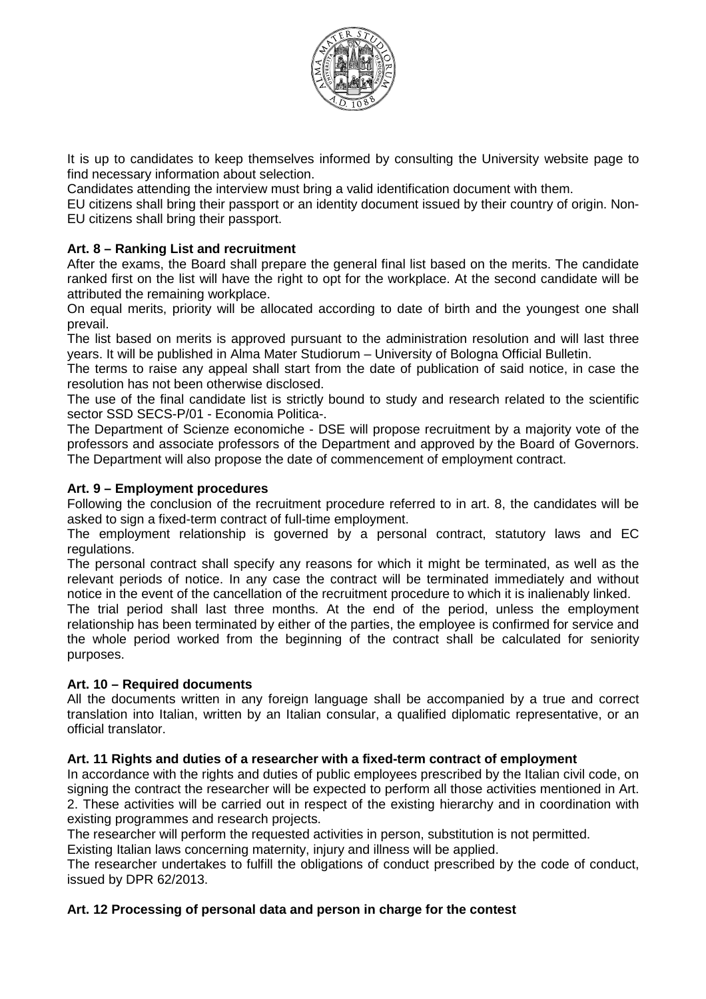

It is up to candidates to keep themselves informed by consulting the University website page to find necessary information about selection.

Candidates attending the interview must bring a valid identification document with them.

EU citizens shall bring their passport or an identity document issued by their country of origin. Non-EU citizens shall bring their passport.

# **Art. 8 – Ranking List and recruitment**

After the exams, the Board shall prepare the general final list based on the merits. The candidate ranked first on the list will have the right to opt for the workplace. At the second candidate will be attributed the remaining workplace.

On equal merits, priority will be allocated according to date of birth and the youngest one shall prevail.

The list based on merits is approved pursuant to the administration resolution and will last three years. It will be published in Alma Mater Studiorum – University of Bologna Official Bulletin.

The terms to raise any appeal shall start from the date of publication of said notice, in case the resolution has not been otherwise disclosed.

The use of the final candidate list is strictly bound to study and research related to the scientific sector SSD SECS-P/01 - Economia Politica-.

The Department of Scienze economiche - DSE will propose recruitment by a majority vote of the professors and associate professors of the Department and approved by the Board of Governors. The Department will also propose the date of commencement of employment contract.

# **Art. 9 – Employment procedures**

Following the conclusion of the recruitment procedure referred to in art. 8, the candidates will be asked to sign a fixed-term contract of full-time employment.

The employment relationship is governed by a personal contract, statutory laws and EC regulations.

The personal contract shall specify any reasons for which it might be terminated, as well as the relevant periods of notice. In any case the contract will be terminated immediately and without notice in the event of the cancellation of the recruitment procedure to which it is inalienably linked.

The trial period shall last three months. At the end of the period, unless the employment relationship has been terminated by either of the parties, the employee is confirmed for service and the whole period worked from the beginning of the contract shall be calculated for seniority purposes.

# **Art. 10 – Required documents**

All the documents written in any foreign language shall be accompanied by a true and correct translation into Italian, written by an Italian consular, a qualified diplomatic representative, or an official translator.

### **Art. 11 Rights and duties of a researcher with a fixed-term contract of employment**

In accordance with the rights and duties of public employees prescribed by the Italian civil code, on signing the contract the researcher will be expected to perform all those activities mentioned in Art. 2. These activities will be carried out in respect of the existing hierarchy and in coordination with existing programmes and research projects.

The researcher will perform the requested activities in person, substitution is not permitted.

Existing Italian laws concerning maternity, injury and illness will be applied.

The researcher undertakes to fulfill the obligations of conduct prescribed by the code of conduct, issued by DPR 62/2013.

### **Art. 12 Processing of personal data and person in charge for the contest**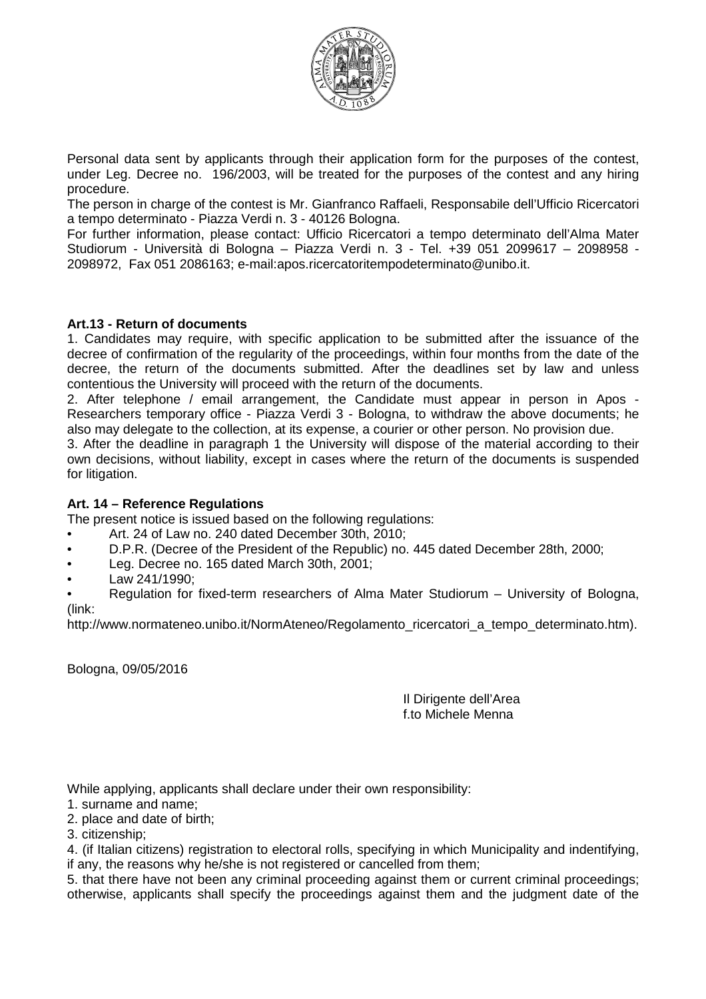

Personal data sent by applicants through their application form for the purposes of the contest, under Leg. Decree no. 196/2003, will be treated for the purposes of the contest and any hiring procedure.

The person in charge of the contest is Mr. Gianfranco Raffaeli, Responsabile dell'Ufficio Ricercatori a tempo determinato - Piazza Verdi n. 3 - 40126 Bologna.

For further information, please contact: Ufficio Ricercatori a tempo determinato dell'Alma Mater Studiorum - Università di Bologna – Piazza Verdi n. 3 - Tel. +39 051 2099617 – 2098958 - 2098972, Fax 051 2086163; e-mail:apos.ricercatoritempodeterminato@unibo.it.

### **Art.13 - Return of documents**

1. Candidates may require, with specific application to be submitted after the issuance of the decree of confirmation of the regularity of the proceedings, within four months from the date of the decree, the return of the documents submitted. After the deadlines set by law and unless contentious the University will proceed with the return of the documents.

2. After telephone / email arrangement, the Candidate must appear in person in Apos - Researchers temporary office - Piazza Verdi 3 - Bologna, to withdraw the above documents; he also may delegate to the collection, at its expense, a courier or other person. No provision due.

3. After the deadline in paragraph 1 the University will dispose of the material according to their own decisions, without liability, except in cases where the return of the documents is suspended for litigation.

### **Art. 14 – Reference Regulations**

The present notice is issued based on the following regulations:

- Art. 24 of Law no. 240 dated December 30th, 2010;
- D.P.R. (Decree of the President of the Republic) no. 445 dated December 28th, 2000;
- Leg. Decree no. 165 dated March 30th, 2001;
- Law 241/1990;

• Regulation for fixed-term researchers of Alma Mater Studiorum – University of Bologna, (link:

http://www.normateneo.unibo.it/NormAteneo/Regolamento\_ricercatori\_a\_tempo\_determinato.htm).

Bologna, 09/05/2016

Il Dirigente dell'Area f.to Michele Menna

While applying, applicants shall declare under their own responsibility:

- 1. surname and name;
- 2. place and date of birth;
- 3. citizenship;

4. (if Italian citizens) registration to electoral rolls, specifying in which Municipality and indentifying, if any, the reasons why he/she is not registered or cancelled from them;

5. that there have not been any criminal proceeding against them or current criminal proceedings; otherwise, applicants shall specify the proceedings against them and the judgment date of the